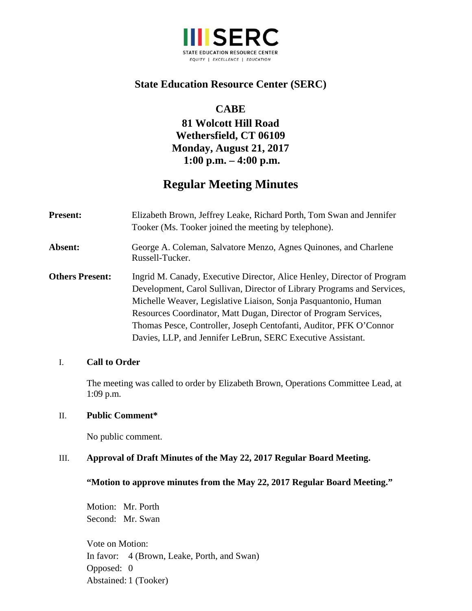

# **State Education Resource Center (SERC)**

# **CABE**

# **81 Wolcott Hill Road Wethersfield, CT 06109 Monday, August 21, 2017 1:00 p.m. – 4:00 p.m.**

# **Regular Meeting Minutes**

| <b>Present:</b>        | Elizabeth Brown, Jeffrey Leake, Richard Porth, Tom Swan and Jennifer<br>Tooker (Ms. Tooker joined the meeting by telephone).                                                                                                                                                                                                                                                                                                   |
|------------------------|--------------------------------------------------------------------------------------------------------------------------------------------------------------------------------------------------------------------------------------------------------------------------------------------------------------------------------------------------------------------------------------------------------------------------------|
| Absent:                | George A. Coleman, Salvatore Menzo, Agnes Quinones, and Charlene<br>Russell-Tucker.                                                                                                                                                                                                                                                                                                                                            |
| <b>Others Present:</b> | Ingrid M. Canady, Executive Director, Alice Henley, Director of Program<br>Development, Carol Sullivan, Director of Library Programs and Services,<br>Michelle Weaver, Legislative Liaison, Sonja Pasquantonio, Human<br>Resources Coordinator, Matt Dugan, Director of Program Services,<br>Thomas Pesce, Controller, Joseph Centofanti, Auditor, PFK O'Connor<br>Davies, LLP, and Jennifer LeBrun, SERC Executive Assistant. |

#### I. **Call to Order**

The meeting was called to order by Elizabeth Brown, Operations Committee Lead, at 1:09 p.m.

## II. **Public Comment\***

No public comment.

#### III. **Approval of Draft Minutes of the May 22, 2017 Regular Board Meeting.**

#### **"Motion to approve minutes from the May 22, 2017 Regular Board Meeting."**

Motion: Mr. Porth Second: Mr. Swan

Vote on Motion: In favor: 4 (Brown, Leake, Porth, and Swan) Opposed: 0 Abstained: 1 (Tooker)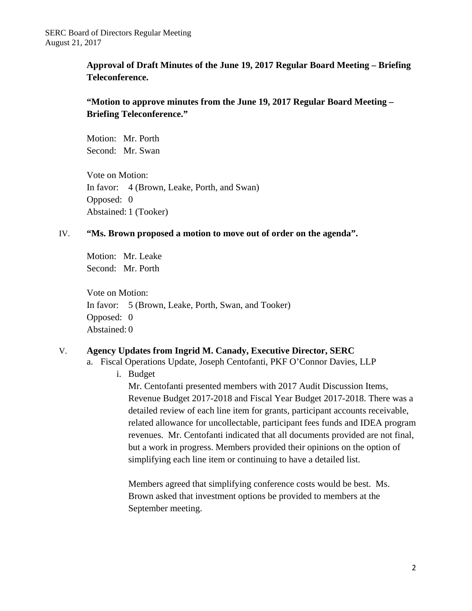**Approval of Draft Minutes of the June 19, 2017 Regular Board Meeting – Briefing Teleconference.** 

## **"Motion to approve minutes from the June 19, 2017 Regular Board Meeting – Briefing Teleconference."**

Motion: Mr. Porth Second: Mr. Swan

Vote on Motion: In favor: 4 (Brown, Leake, Porth, and Swan) Opposed: 0 Abstained: 1 (Tooker)

#### IV. **"Ms. Brown proposed a motion to move out of order on the agenda".**

Motion: Mr. Leake Second: Mr. Porth

Vote on Motion: In favor: 5 (Brown, Leake, Porth, Swan, and Tooker) Opposed: 0 Abstained: 0

#### V. **Agency Updates from Ingrid M. Canady, Executive Director, SERC**

- a. Fiscal Operations Update, Joseph Centofanti, PKF O'Connor Davies, LLP
	- i. Budget

Mr. Centofanti presented members with 2017 Audit Discussion Items, Revenue Budget 2017-2018 and Fiscal Year Budget 2017-2018. There was a detailed review of each line item for grants, participant accounts receivable, related allowance for uncollectable, participant fees funds and IDEA program revenues. Mr. Centofanti indicated that all documents provided are not final, but a work in progress. Members provided their opinions on the option of simplifying each line item or continuing to have a detailed list.

Members agreed that simplifying conference costs would be best. Ms. Brown asked that investment options be provided to members at the September meeting.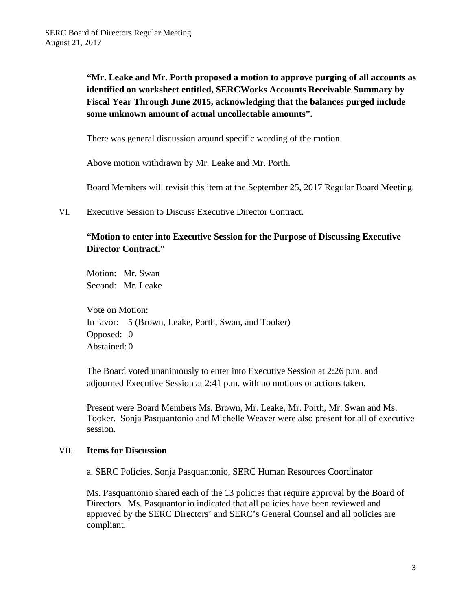**"Mr. Leake and Mr. Porth proposed a motion to approve purging of all accounts as identified on worksheet entitled, SERCWorks Accounts Receivable Summary by Fiscal Year Through June 2015, acknowledging that the balances purged include some unknown amount of actual uncollectable amounts".** 

There was general discussion around specific wording of the motion.

Above motion withdrawn by Mr. Leake and Mr. Porth.

Board Members will revisit this item at the September 25, 2017 Regular Board Meeting.

VI. Executive Session to Discuss Executive Director Contract.

## **"Motion to enter into Executive Session for the Purpose of Discussing Executive Director Contract."**

Motion: Mr. Swan Second: Mr. Leake

Vote on Motion: In favor: 5 (Brown, Leake, Porth, Swan, and Tooker) Opposed: 0 Abstained: 0

The Board voted unanimously to enter into Executive Session at 2:26 p.m. and adjourned Executive Session at 2:41 p.m. with no motions or actions taken.

Present were Board Members Ms. Brown, Mr. Leake, Mr. Porth, Mr. Swan and Ms. Tooker. Sonja Pasquantonio and Michelle Weaver were also present for all of executive session.

#### VII. **Items for Discussion**

a. SERC Policies, Sonja Pasquantonio, SERC Human Resources Coordinator

Ms. Pasquantonio shared each of the 13 policies that require approval by the Board of Directors. Ms. Pasquantonio indicated that all policies have been reviewed and approved by the SERC Directors' and SERC's General Counsel and all policies are compliant.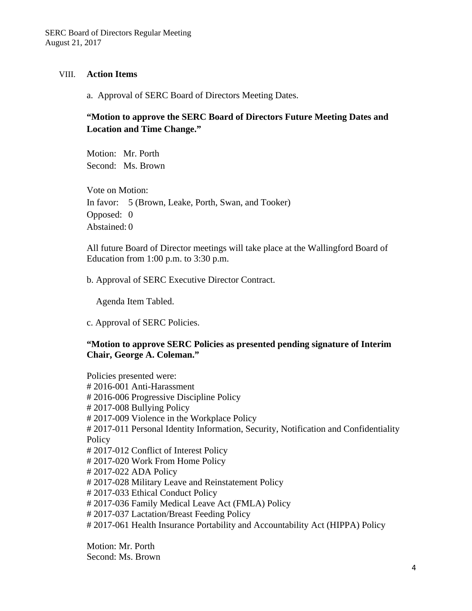#### VIII. **Action Items**

a. Approval of SERC Board of Directors Meeting Dates.

## **"Motion to approve the SERC Board of Directors Future Meeting Dates and Location and Time Change."**

Motion: Mr. Porth Second: Ms. Brown

Vote on Motion: In favor: 5 (Brown, Leake, Porth, Swan, and Tooker) Opposed: 0 Abstained: 0

All future Board of Director meetings will take place at the Wallingford Board of Education from 1:00 p.m. to 3:30 p.m.

b. Approval of SERC Executive Director Contract.

Agenda Item Tabled.

c. Approval of SERC Policies.

#### **"Motion to approve SERC Policies as presented pending signature of Interim Chair, George A. Coleman."**

Policies presented were: # 2016-001 Anti-Harassment # 2016-006 Progressive Discipline Policy # 2017-008 Bullying Policy # 2017-009 Violence in the Workplace Policy # 2017-011 Personal Identity Information, Security, Notification and Confidentiality **Policy** # 2017-012 Conflict of Interest Policy # 2017-020 Work From Home Policy # 2017-022 ADA Policy # 2017-028 Military Leave and Reinstatement Policy # 2017-033 Ethical Conduct Policy # 2017-036 Family Medical Leave Act (FMLA) Policy # 2017-037 Lactation/Breast Feeding Policy # 2017-061 Health Insurance Portability and Accountability Act (HIPPA) Policy

Motion: Mr. Porth Second: Ms. Brown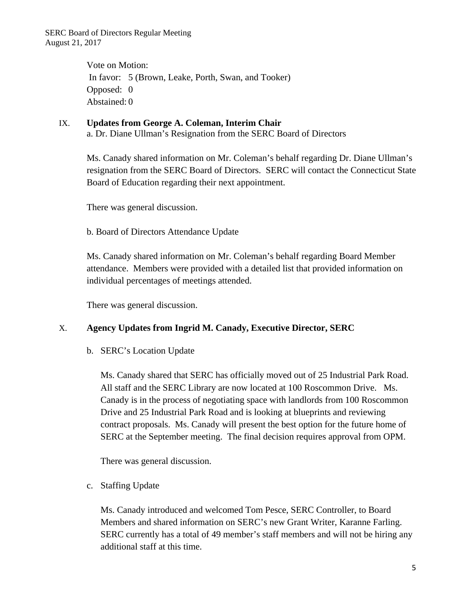SERC Board of Directors Regular Meeting August 21, 2017

> Vote on Motion: In favor: 5 (Brown, Leake, Porth, Swan, and Tooker) Opposed: 0 Abstained: 0

# IX. **Updates from George A. Coleman, Interim Chair**

a. Dr. Diane Ullman's Resignation from the SERC Board of Directors

Ms. Canady shared information on Mr. Coleman's behalf regarding Dr. Diane Ullman's resignation from the SERC Board of Directors. SERC will contact the Connecticut State Board of Education regarding their next appointment.

There was general discussion.

b. Board of Directors Attendance Update

Ms. Canady shared information on Mr. Coleman's behalf regarding Board Member attendance. Members were provided with a detailed list that provided information on individual percentages of meetings attended.

There was general discussion.

#### X. **Agency Updates from Ingrid M. Canady, Executive Director, SERC**

b. SERC's Location Update

Ms. Canady shared that SERC has officially moved out of 25 Industrial Park Road. All staff and the SERC Library are now located at 100 Roscommon Drive. Ms. Canady is in the process of negotiating space with landlords from 100 Roscommon Drive and 25 Industrial Park Road and is looking at blueprints and reviewing contract proposals. Ms. Canady will present the best option for the future home of SERC at the September meeting. The final decision requires approval from OPM.

There was general discussion.

c. Staffing Update

Ms. Canady introduced and welcomed Tom Pesce, SERC Controller, to Board Members and shared information on SERC's new Grant Writer, Karanne Farling. SERC currently has a total of 49 member's staff members and will not be hiring any additional staff at this time.